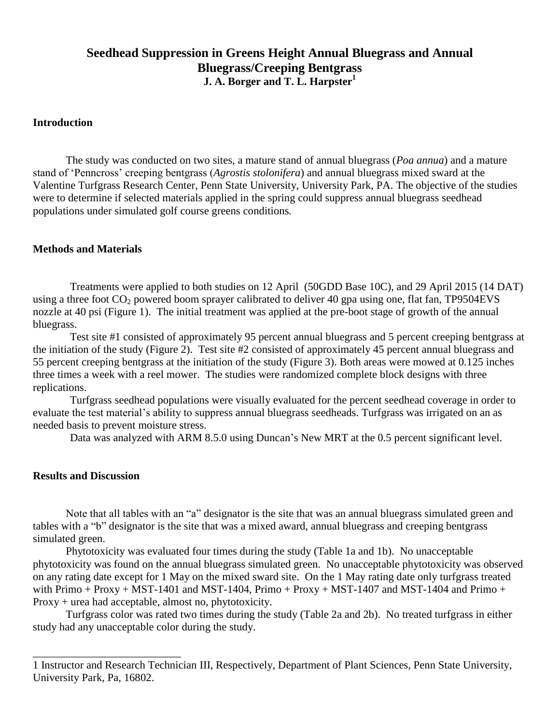## **Seedhead Suppression in Greens Height Annual Bluegrass and Annual Bluegrass/Creeping Bentgrass J. A. Borger and T. L. Harpster<sup>1</sup>**

## **Introduction**

The study was conducted on two sites, a mature stand of annual bluegrass (*Poa annua*) and a mature stand of 'Penncross' creeping bentgrass (*Agrostis stolonifera*) and annual bluegrass mixed sward at the Valentine Turfgrass Research Center, Penn State University, University Park, PA. The objective of the studies were to determine if selected materials applied in the spring could suppress annual bluegrass seedhead populations under simulated golf course greens conditions*.*

## **Methods and Materials**

Treatments were applied to both studies on 12 April (50GDD Base 10C), and 29 April 2015 (14 DAT) using a three foot  $CO_2$  powered boom sprayer calibrated to deliver 40 gpa using one, flat fan, TP9504EVS nozzle at 40 psi (Figure 1). The initial treatment was applied at the pre-boot stage of growth of the annual bluegrass.

Test site #1 consisted of approximately 95 percent annual bluegrass and 5 percent creeping bentgrass at the initiation of the study (Figure 2). Test site #2 consisted of approximately 45 percent annual bluegrass and 55 percent creeping bentgrass at the initiation of the study (Figure 3). Both areas were mowed at 0.125 inches three times a week with a reel mower. The studies were randomized complete block designs with three replications.

Turfgrass seedhead populations were visually evaluated for the percent seedhead coverage in order to evaluate the test material's ability to suppress annual bluegrass seedheads. Turfgrass was irrigated on an as needed basis to prevent moisture stress.

Data was analyzed with ARM 8.5.0 using Duncan's New MRT at the 0.5 percent significant level.

## **Results and Discussion**

\_\_\_\_\_\_\_\_\_\_\_\_\_\_\_\_\_\_\_\_\_\_\_\_\_\_\_

Note that all tables with an "a" designator is the site that was an annual bluegrass simulated green and tables with a "b" designator is the site that was a mixed award, annual bluegrass and creeping bentgrass simulated green.

Phytotoxicity was evaluated four times during the study (Table 1a and 1b). No unacceptable phytotoxicity was found on the annual bluegrass simulated green. No unacceptable phytotoxicity was observed on any rating date except for 1 May on the mixed sward site. On the 1 May rating date only turfgrass treated with Primo + Proxy + MST-1401 and MST-1404, Primo + Proxy + MST-1407 and MST-1404 and Primo + Proxy + urea had acceptable, almost no, phytotoxicity.

Turfgrass color was rated two times during the study (Table 2a and 2b). No treated turfgrass in either study had any unacceptable color during the study.

<sup>1</sup> Instructor and Research Technician III, Respectively, Department of Plant Sciences, Penn State University, University Park, Pa, 16802.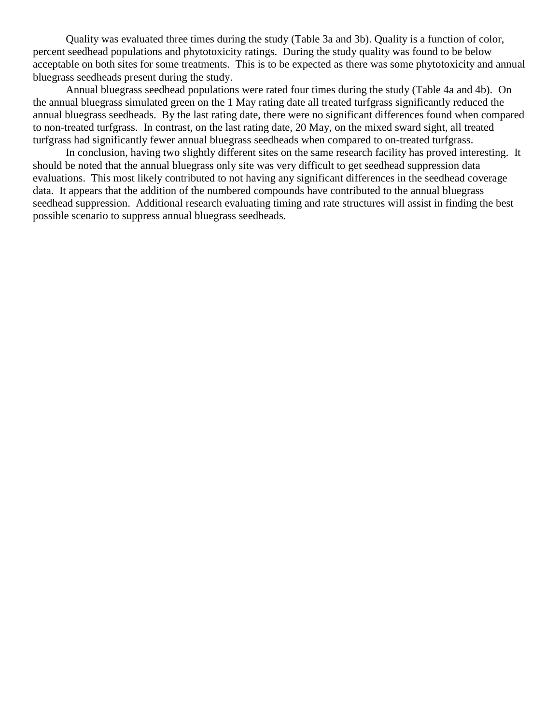Quality was evaluated three times during the study (Table 3a and 3b). Quality is a function of color, percent seedhead populations and phytotoxicity ratings. During the study quality was found to be below acceptable on both sites for some treatments. This is to be expected as there was some phytotoxicity and annual bluegrass seedheads present during the study.

Annual bluegrass seedhead populations were rated four times during the study (Table 4a and 4b). On the annual bluegrass simulated green on the 1 May rating date all treated turfgrass significantly reduced the annual bluegrass seedheads. By the last rating date, there were no significant differences found when compared to non-treated turfgrass. In contrast, on the last rating date, 20 May, on the mixed sward sight, all treated turfgrass had significantly fewer annual bluegrass seedheads when compared to on-treated turfgrass.

In conclusion, having two slightly different sites on the same research facility has proved interesting. It should be noted that the annual bluegrass only site was very difficult to get seedhead suppression data evaluations. This most likely contributed to not having any significant differences in the seedhead coverage data. It appears that the addition of the numbered compounds have contributed to the annual bluegrass seedhead suppression. Additional research evaluating timing and rate structures will assist in finding the best possible scenario to suppress annual bluegrass seedheads.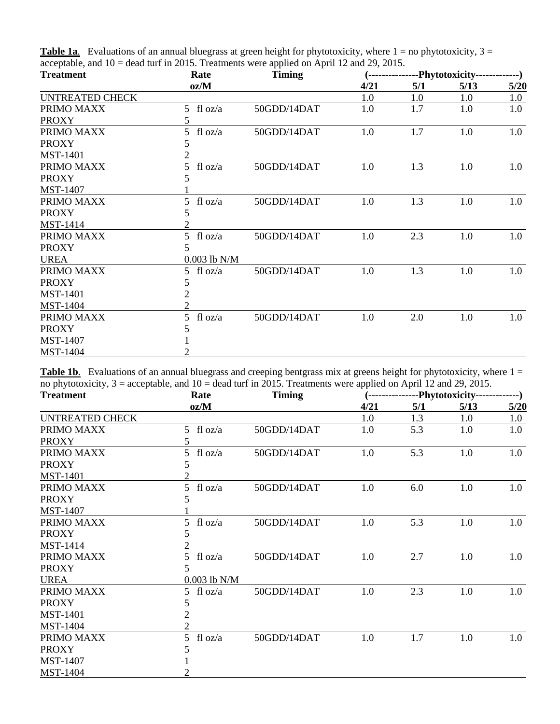| <b>Table 1a.</b> Evaluations of an annual bluegrass at green height for phytotoxicity, where $1 =$ no phytotoxicity, $3 =$ |
|----------------------------------------------------------------------------------------------------------------------------|
| acceptable, and $10 =$ dead turf in 2015. Treatments were applied on April 12 and 29, 2015.                                |

| <b>Treatment</b> | Rate<br><b>Timing</b> |             | -Phytotoxicity-------------) |     |      |         |
|------------------|-----------------------|-------------|------------------------------|-----|------|---------|
|                  | oz/M                  |             | 4/21                         | 5/1 | 5/13 | 5/20    |
| UNTREATED CHECK  |                       |             | 1.0                          | 1.0 | 1.0  | $1.0\,$ |
| PRIMO MAXX       | fl oz/a<br>5          | 50GDD/14DAT | 1.0                          | 1.7 | 1.0  | 1.0     |
| <b>PROXY</b>     | 5                     |             |                              |     |      |         |
| PRIMO MAXX       | 5<br>floz/a           | 50GDD/14DAT | 1.0                          | 1.7 | 1.0  | 1.0     |
| <b>PROXY</b>     | 5                     |             |                              |     |      |         |
| <b>MST-1401</b>  | 2                     |             |                              |     |      |         |
| PRIMO MAXX       | 5<br>fl oz/a          | 50GDD/14DAT | 1.0                          | 1.3 | 1.0  | 1.0     |
| <b>PROXY</b>     | 5                     |             |                              |     |      |         |
| <b>MST-1407</b>  |                       |             |                              |     |      |         |
| PRIMO MAXX       | floz/a<br>5           | 50GDD/14DAT | 1.0                          | 1.3 | 1.0  | 1.0     |
| <b>PROXY</b>     | 5                     |             |                              |     |      |         |
| <b>MST-1414</b>  | 2                     |             |                              |     |      |         |
| PRIMO MAXX       | 5<br>floz/a           | 50GDD/14DAT | 1.0                          | 2.3 | 1.0  | 1.0     |
| <b>PROXY</b>     | 5                     |             |                              |     |      |         |
| <b>UREA</b>      | $0.003$ lb N/M        |             |                              |     |      |         |
| PRIMO MAXX       | floz/a<br>5           | 50GDD/14DAT | 1.0                          | 1.3 | 1.0  | 1.0     |
| <b>PROXY</b>     | 5                     |             |                              |     |      |         |
| <b>MST-1401</b>  | $\overline{2}$        |             |                              |     |      |         |
| <b>MST-1404</b>  | 2                     |             |                              |     |      |         |
| PRIMO MAXX       | 5<br>fl oz/a          | 50GDD/14DAT | 1.0                          | 2.0 | 1.0  | 1.0     |
| <b>PROXY</b>     | 5                     |             |                              |     |      |         |
| <b>MST-1407</b>  |                       |             |                              |     |      |         |
| <b>MST-1404</b>  | 2                     |             |                              |     |      |         |

**Table 1b**. Evaluations of an annual bluegrass and creeping bentgrass mix at greens height for phytotoxicity, where  $1 =$ no phytotoxicity, 3 = acceptable, and 10 = dead turf in 2015. Treatments were applied on April 12 and 29, 2015.

| <b>Treatment</b>       | Rate                   | <b>Timing</b> |      |     | (---------------Phytotoxicity-------------) |      |
|------------------------|------------------------|---------------|------|-----|---------------------------------------------|------|
|                        | oz/M                   |               | 4/21 | 5/1 | 5/13                                        | 5/20 |
| <b>UNTREATED CHECK</b> |                        |               | 1.0  | 1.3 | 1.0                                         | 1.0  |
| PRIMO MAXX             | 5 fl oz/a              | 50GDD/14DAT   | 1.0  | 5.3 | 1.0                                         | 1.0  |
| <b>PROXY</b>           | 5                      |               |      |     |                                             |      |
| PRIMO MAXX             | fl oz/a<br>5           | 50GDD/14DAT   | 1.0  | 5.3 | 1.0                                         | 1.0  |
| <b>PROXY</b>           | 5                      |               |      |     |                                             |      |
| <b>MST-1401</b>        | 2                      |               |      |     |                                             |      |
| PRIMO MAXX             | 5<br>fl oz/a           | 50GDD/14DAT   | 1.0  | 6.0 | 1.0                                         | 1.0  |
| <b>PROXY</b>           | 5                      |               |      |     |                                             |      |
| <b>MST-1407</b>        |                        |               |      |     |                                             |      |
| PRIMO MAXX             | fl oz/a<br>$5^{\circ}$ | 50GDD/14DAT   | 1.0  | 5.3 | 1.0                                         | 1.0  |
| <b>PROXY</b>           | 5                      |               |      |     |                                             |      |
| <b>MST-1414</b>        | 2                      |               |      |     |                                             |      |
| PRIMO MAXX             | 5<br>floz/a            | 50GDD/14DAT   | 1.0  | 2.7 | 1.0                                         | 1.0  |
| <b>PROXY</b>           | 5                      |               |      |     |                                             |      |
| <b>UREA</b>            | $0.003$ lb N/M         |               |      |     |                                             |      |
| PRIMO MAXX             | 5 fl oz/a              | 50GDD/14DAT   | 1.0  | 2.3 | 1.0                                         | 1.0  |
| <b>PROXY</b>           | 5                      |               |      |     |                                             |      |
| <b>MST-1401</b>        | 2                      |               |      |     |                                             |      |
| <b>MST-1404</b>        | 2                      |               |      |     |                                             |      |
| PRIMO MAXX             | 5<br>fl oz/a           | 50GDD/14DAT   | 1.0  | 1.7 | 1.0                                         | 1.0  |
| <b>PROXY</b>           |                        |               |      |     |                                             |      |
| <b>MST-1407</b>        |                        |               |      |     |                                             |      |
| <b>MST-1404</b>        |                        |               |      |     |                                             |      |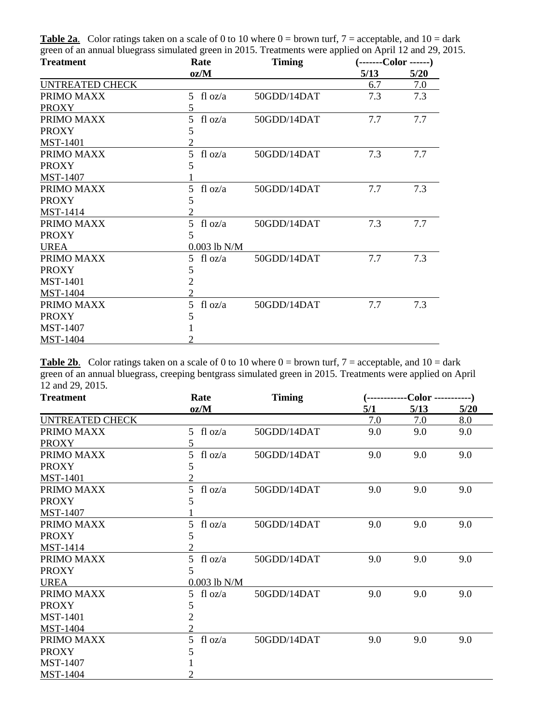**Table 2a.** Color ratings taken on a scale of 0 to 10 where  $0 =$  brown turf,  $7 =$  acceptable, and  $10 =$  dark green of an annual bluegrass simulated green in 2015. Treatments were applied on April 12 and 29, 2015. **Treatment Rate Timing** (-------Color ------)

| Treatment       | Rate                      | Timing      |      | (-------Color ------) |
|-----------------|---------------------------|-------------|------|-----------------------|
|                 | oz/M                      |             | 5/13 | 5/20                  |
| UNTREATED CHECK |                           |             | 6.7  | 7.0                   |
| PRIMO MAXX      | 5 fl oz/a                 | 50GDD/14DAT | 7.3  | 7.3                   |
| <b>PROXY</b>    | 5                         |             |      |                       |
| PRIMO MAXX      | 5<br>fl oz/a              | 50GDD/14DAT | 7.7  | 7.7                   |
| <b>PROXY</b>    | 5                         |             |      |                       |
| <b>MST-1401</b> | $\overline{2}$            |             |      |                       |
| PRIMO MAXX      | 5<br>fl oz/a              | 50GDD/14DAT | 7.3  | 7.7                   |
| <b>PROXY</b>    | 5                         |             |      |                       |
| <b>MST-1407</b> |                           |             |      |                       |
| PRIMO MAXX      | 5<br>fl oz/a              | 50GDD/14DAT | 7.7  | 7.3                   |
| <b>PROXY</b>    | 5                         |             |      |                       |
| <b>MST-1414</b> | 2                         |             |      |                       |
| PRIMO MAXX      | $\mathfrak{H}$<br>fl oz/a | 50GDD/14DAT | 7.3  | 7.7                   |
| <b>PROXY</b>    | 5                         |             |      |                       |
| <b>UREA</b>     | $0.003$ lb N/M            |             |      |                       |
| PRIMO MAXX      | fl oz/a<br>5.             | 50GDD/14DAT | 7.7  | 7.3                   |
| <b>PROXY</b>    | 5                         |             |      |                       |
| <b>MST-1401</b> | $\overline{2}$            |             |      |                       |
| <b>MST-1404</b> | $\overline{2}$            |             |      |                       |
| PRIMO MAXX      | 5<br>fl oz/a              | 50GDD/14DAT | 7.7  | 7.3                   |
| <b>PROXY</b>    | 5                         |             |      |                       |
| <b>MST-1407</b> |                           |             |      |                       |
| <b>MST-1404</b> | 2                         |             |      |                       |

**Table 2b.** Color ratings taken on a scale of 0 to 10 where  $0 =$  brown turf,  $7 =$  acceptable, and  $10 =$  dark green of an annual bluegrass, creeping bentgrass simulated green in 2015. Treatments were applied on April 12 and 29, 2015.

| <b>Treatment</b>       | <b>Timing</b><br>Rate     |             | Color-<br>----------) |      |      |  |
|------------------------|---------------------------|-------------|-----------------------|------|------|--|
|                        | oz/M                      |             | 5/1                   | 5/13 | 5/20 |  |
| <b>UNTREATED CHECK</b> |                           |             | 7.0                   | 7.0  | 8.0  |  |
| PRIMO MAXX             | 5 <sup>1</sup><br>fl oz/a | 50GDD/14DAT | 9.0                   | 9.0  | 9.0  |  |
| <b>PROXY</b>           | 5                         |             |                       |      |      |  |
| PRIMO MAXX             | 5<br>fl oz/a              | 50GDD/14DAT | 9.0                   | 9.0  | 9.0  |  |
| <b>PROXY</b>           | 5                         |             |                       |      |      |  |
| <b>MST-1401</b>        | 2                         |             |                       |      |      |  |
| PRIMO MAXX             | 5<br>fl oz/a              | 50GDD/14DAT | 9.0                   | 9.0  | 9.0  |  |
| <b>PROXY</b>           | 5                         |             |                       |      |      |  |
| <b>MST-1407</b>        |                           |             |                       |      |      |  |
| PRIMO MAXX             | 5<br>fl oz/a              | 50GDD/14DAT | 9.0                   | 9.0  | 9.0  |  |
| <b>PROXY</b>           | 5                         |             |                       |      |      |  |
| <b>MST-1414</b>        | 2                         |             |                       |      |      |  |
| PRIMO MAXX             | 5<br>floz/a               | 50GDD/14DAT | 9.0                   | 9.0  | 9.0  |  |
| <b>PROXY</b>           | 5                         |             |                       |      |      |  |
| <b>UREA</b>            | $0.003$ lb N/M            |             |                       |      |      |  |
| PRIMO MAXX             | fl oz/a<br>5              | 50GDD/14DAT | 9.0                   | 9.0  | 9.0  |  |
| <b>PROXY</b>           | 5                         |             |                       |      |      |  |
| <b>MST-1401</b>        | 2                         |             |                       |      |      |  |
| <b>MST-1404</b>        | 2                         |             |                       |      |      |  |
| PRIMO MAXX             | 5<br>fl oz/a              | 50GDD/14DAT | 9.0                   | 9.0  | 9.0  |  |
| <b>PROXY</b>           | 5                         |             |                       |      |      |  |
| <b>MST-1407</b>        |                           |             |                       |      |      |  |
| <b>MST-1404</b>        |                           |             |                       |      |      |  |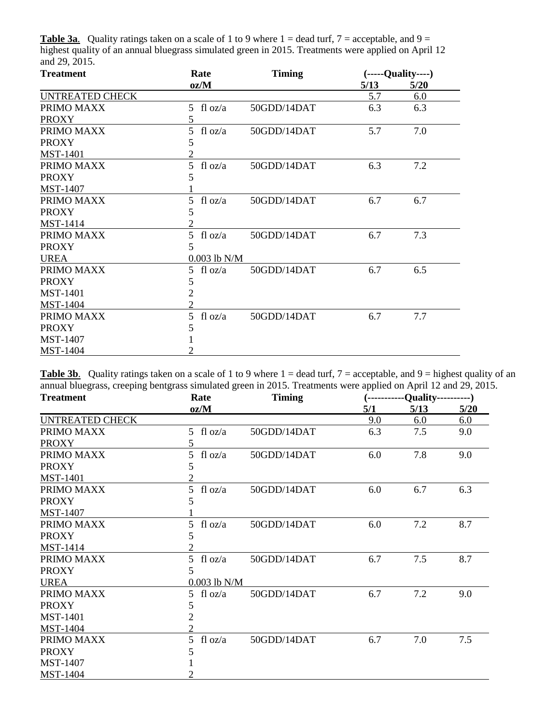**Table 3a.** Quality ratings taken on a scale of 1 to 9 where  $1 =$  dead turf,  $7 =$  acceptable, and  $9 =$ highest quality of an annual bluegrass simulated green in 2015. Treatments were applied on April 12 and 29, 2015.

| <b>Treatment</b>       | Rate<br><b>Timing</b> |             | $($ -----Quality----) |      |  |
|------------------------|-----------------------|-------------|-----------------------|------|--|
|                        | oz/M                  |             | 5/13                  | 5/20 |  |
| <b>UNTREATED CHECK</b> |                       |             | 5.7                   | 6.0  |  |
| PRIMO MAXX             | 5<br>fl oz/a          | 50GDD/14DAT | 6.3                   | 6.3  |  |
| <b>PROXY</b>           | 5                     |             |                       |      |  |
| PRIMO MAXX             | 5<br>floz/a           | 50GDD/14DAT | 5.7                   | 7.0  |  |
| <b>PROXY</b>           | 5                     |             |                       |      |  |
| <b>MST-1401</b>        | 2                     |             |                       |      |  |
| PRIMO MAXX             | 5<br>fl oz/a          | 50GDD/14DAT | 6.3                   | 7.2  |  |
| <b>PROXY</b>           | 5                     |             |                       |      |  |
| <b>MST-1407</b>        |                       |             |                       |      |  |
| PRIMO MAXX             | 5<br>floz/a           | 50GDD/14DAT | 6.7                   | 6.7  |  |
| <b>PROXY</b>           | 5                     |             |                       |      |  |
| <b>MST-1414</b>        |                       |             |                       |      |  |
| PRIMO MAXX             | 5<br>fl oz/a          | 50GDD/14DAT | 6.7                   | 7.3  |  |
| <b>PROXY</b>           | 5                     |             |                       |      |  |
| <b>UREA</b>            | $0.003$ lb N/M        |             |                       |      |  |
| PRIMO MAXX             | fl $oz/a$<br>5.       | 50GDD/14DAT | 6.7                   | 6.5  |  |
| <b>PROXY</b>           | 5                     |             |                       |      |  |
| <b>MST-1401</b>        | 2                     |             |                       |      |  |
| <b>MST-1404</b>        | 2                     |             |                       |      |  |
| PRIMO MAXX             | 5<br>fl $oz/a$        | 50GDD/14DAT | 6.7                   | 7.7  |  |
| <b>PROXY</b>           | 5                     |             |                       |      |  |
| <b>MST-1407</b>        |                       |             |                       |      |  |
| <b>MST-1404</b>        |                       |             |                       |      |  |

| <b>Table 3b.</b> Quality ratings taken on a scale of 1 to 9 where $1 =$ dead turf, $7 =$ acceptable, and $9 =$ highest quality of an |
|--------------------------------------------------------------------------------------------------------------------------------------|
| annual bluegrass, creeping bentgrass simulated green in 2015. Treatments were applied on April 12 and 29, 2015.                      |

| <b>Treatment</b>       | <b>Timing</b><br>Rate    |             | <b>Quality</b> -----------)<br>$($ -------- |      |      |  |
|------------------------|--------------------------|-------------|---------------------------------------------|------|------|--|
|                        | oz/M                     |             | 5/1                                         | 5/13 | 5/20 |  |
| <b>UNTREATED CHECK</b> |                          |             | 9.0                                         | 6.0  | 6.0  |  |
| PRIMO MAXX             | 5 fl oz/a                | 50GDD/14DAT | 6.3                                         | 7.5  | 9.0  |  |
| <b>PROXY</b>           | 5                        |             |                                             |      |      |  |
| PRIMO MAXX             | 5<br>floz/a              | 50GDD/14DAT | 6.0                                         | 7.8  | 9.0  |  |
| <b>PROXY</b>           | 5                        |             |                                             |      |      |  |
| <b>MST-1401</b>        |                          |             |                                             |      |      |  |
| PRIMO MAXX             | 5<br>floz/a              | 50GDD/14DAT | 6.0                                         | 6.7  | 6.3  |  |
| <b>PROXY</b>           | 5                        |             |                                             |      |      |  |
| <b>MST-1407</b>        |                          |             |                                             |      |      |  |
| PRIMO MAXX             | $\mathcal{F}$<br>fl oz/a | 50GDD/14DAT | 6.0                                         | 7.2  | 8.7  |  |
| <b>PROXY</b>           | 5                        |             |                                             |      |      |  |
| <b>MST-1414</b>        | 2                        |             |                                             |      |      |  |
| PRIMO MAXX             | 5<br>fl oz/a             | 50GDD/14DAT | 6.7                                         | 7.5  | 8.7  |  |
| <b>PROXY</b>           | 5                        |             |                                             |      |      |  |
| <b>UREA</b>            | $0.003$ lb $N/M$         |             |                                             |      |      |  |
| PRIMO MAXX             | 5 fl oz/a                | 50GDD/14DAT | 6.7                                         | 7.2  | 9.0  |  |
| <b>PROXY</b>           | 5                        |             |                                             |      |      |  |
| <b>MST-1401</b>        | 2                        |             |                                             |      |      |  |
| <b>MST-1404</b>        |                          |             |                                             |      |      |  |
| PRIMO MAXX             | 5<br>fl oz/a             | 50GDD/14DAT | 6.7                                         | 7.0  | 7.5  |  |
| <b>PROXY</b>           | 5                        |             |                                             |      |      |  |
| <b>MST-1407</b>        |                          |             |                                             |      |      |  |
| <b>MST-1404</b>        |                          |             |                                             |      |      |  |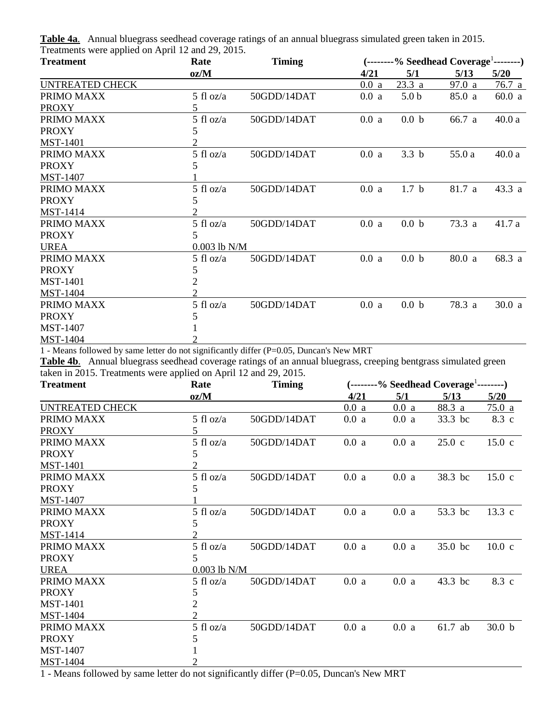**Table 4a**. Annual bluegrass seedhead coverage ratings of an annual bluegrass simulated green taken in 2015. Treatments were applied on April 12 and 29, 2015.

| <b>Treatment</b>       | Rate                | <b>Timing</b> |      |                  | $(-$ -------% Seedhead Coverage <sup>1</sup> --------- |        |
|------------------------|---------------------|---------------|------|------------------|--------------------------------------------------------|--------|
|                        | oz/M                |               | 4/21 | 5/1              | 5/13                                                   | 5/20   |
| <b>UNTREATED CHECK</b> |                     |               | 0.0a | 23.3 a           | 97.0 a                                                 | 76.7 a |
| PRIMO MAXX             | $5 \text{ fl oz/a}$ | 50GDD/14DAT   | 0.0a | 5.0 <sub>b</sub> | 85.0a                                                  | 60.0 a |
| <b>PROXY</b>           | 5                   |               |      |                  |                                                        |        |
| PRIMO MAXX             | $5$ fl oz/a         | 50GDD/14DAT   | 0.0a | 0.0 <sub>b</sub> | 66.7 a                                                 | 40.0a  |
| <b>PROXY</b>           | 5                   |               |      |                  |                                                        |        |
| <b>MST-1401</b>        | 2                   |               |      |                  |                                                        |        |
| PRIMO MAXX             | $5 \text{ fl oz/a}$ | 50GDD/14DAT   | 0.0a | 3.3 <sub>b</sub> | 55.0a                                                  | 40.0a  |
| <b>PROXY</b>           | 5                   |               |      |                  |                                                        |        |
| <b>MST-1407</b>        |                     |               |      |                  |                                                        |        |
| PRIMO MAXX             | 5 fl oz/a           | 50GDD/14DAT   | 0.0a | 1.7 <sub>b</sub> | 81.7 a                                                 | 43.3 a |
| <b>PROXY</b>           | 5                   |               |      |                  |                                                        |        |
| <b>MST-1414</b>        |                     |               |      |                  |                                                        |        |
| PRIMO MAXX             | 5 fl oz/a           | 50GDD/14DAT   | 0.0a | 0.0 <sub>b</sub> | 73.3a                                                  | 41.7 a |
| <b>PROXY</b>           | 5                   |               |      |                  |                                                        |        |
| <b>UREA</b>            | $0.003$ lb N/M      |               |      |                  |                                                        |        |
| PRIMO MAXX             | $5 \text{ fl oz/a}$ | 50GDD/14DAT   | 0.0a | 0.0 <sub>b</sub> | 80.0 a                                                 | 68.3 a |
| <b>PROXY</b>           | 5                   |               |      |                  |                                                        |        |
| <b>MST-1401</b>        | 2                   |               |      |                  |                                                        |        |
| <b>MST-1404</b>        |                     |               |      |                  |                                                        |        |
| PRIMO MAXX             | $5 \text{ fl oz/a}$ | 50GDD/14DAT   | 0.0a | 0.0 <sub>b</sub> | 78.3 a                                                 | 30.0 a |
| <b>PROXY</b>           | 5                   |               |      |                  |                                                        |        |
| <b>MST-1407</b>        |                     |               |      |                  |                                                        |        |
| <b>MST-1404</b>        |                     |               |      |                  |                                                        |        |

1 - Means followed by same letter do not significantly differ (P=0.05, Duncan's New MRT

**Table 4b**. Annual bluegrass seedhead coverage ratings of an annual bluegrass, creeping bentgrass simulated green taken in 2015. Treatments were applied on April 12 and 29, 2015.

| <b>Treatment</b>       | Rate                | <b>Timing</b> |       | $(-$ -------% Seedhead Coverage <sup>1</sup> --------- |                 |                   |  |
|------------------------|---------------------|---------------|-------|--------------------------------------------------------|-----------------|-------------------|--|
|                        | oz/M                |               | 4/21  | 5/1                                                    | 5/13            | 5/20              |  |
| <b>UNTREATED CHECK</b> |                     |               | 0.0 a | 0.0 a                                                  | 88.3 a          | 75.0 a            |  |
| PRIMO MAXX             | $5 \text{ fl oz/a}$ | 50GDD/14DAT   | 0.0a  | 0.0a                                                   | 33.3 bc         | 8.3 c             |  |
| <b>PROXY</b>           | 5                   |               |       |                                                        |                 |                   |  |
| PRIMO MAXX             | 5 fl oz/a           | 50GDD/14DATA  | 0.0a  | 0.0a                                                   | $25.0\text{ c}$ | $15.0\ c$         |  |
| <b>PROXY</b>           | 5                   |               |       |                                                        |                 |                   |  |
| <b>MST-1401</b>        | $\overline{2}$      |               |       |                                                        |                 |                   |  |
| PRIMO MAXX             | $5 \text{ fl oz/a}$ | 50GDD/14DAT   | 0.0a  | 0.0a                                                   | 38.3 bc         | $15.0\text{ c}$   |  |
| <b>PROXY</b>           | 5                   |               |       |                                                        |                 |                   |  |
| <b>MST-1407</b>        |                     |               |       |                                                        |                 |                   |  |
| PRIMO MAXX             | 5 fl oz/a           | 50GDD/14DAT   | 0.0a  | 0.0a                                                   | 53.3 bc         | $13.3 \text{ c}$  |  |
| <b>PROXY</b>           | 5                   |               |       |                                                        |                 |                   |  |
| <b>MST-1414</b>        | $\overline{2}$      |               |       |                                                        |                 |                   |  |
| PRIMO MAXX             | 5 fl oz/a           | 50GDD/14DAT   | 0.0a  | 0.0a                                                   | $35.0$ bc       | $10.0\text{ c}$   |  |
| <b>PROXY</b>           | 5                   |               |       |                                                        |                 |                   |  |
| <b>UREA</b>            | $0.003$ lb N/M      |               |       |                                                        |                 |                   |  |
| PRIMO MAXX             | 5 fl oz/a           | 50GDD/14DAT   | 0.0a  | 0.0a                                                   | 43.3 bc         | 8.3 c             |  |
| <b>PROXY</b>           | 5                   |               |       |                                                        |                 |                   |  |
| <b>MST-1401</b>        | $\overline{2}$      |               |       |                                                        |                 |                   |  |
| <b>MST-1404</b>        | $\overline{c}$      |               |       |                                                        |                 |                   |  |
| PRIMO MAXX             | $5 \text{ fl oz/a}$ | 50GDD/14DAT   | 0.0a  | 0.0a                                                   | 61.7 ab         | 30.0 <sub>b</sub> |  |
| <b>PROXY</b>           | 5                   |               |       |                                                        |                 |                   |  |
| <b>MST-1407</b>        |                     |               |       |                                                        |                 |                   |  |
| <b>MST-1404</b>        | 2                   |               |       |                                                        |                 |                   |  |

1 - Means followed by same letter do not significantly differ (P=0.05, Duncan's New MRT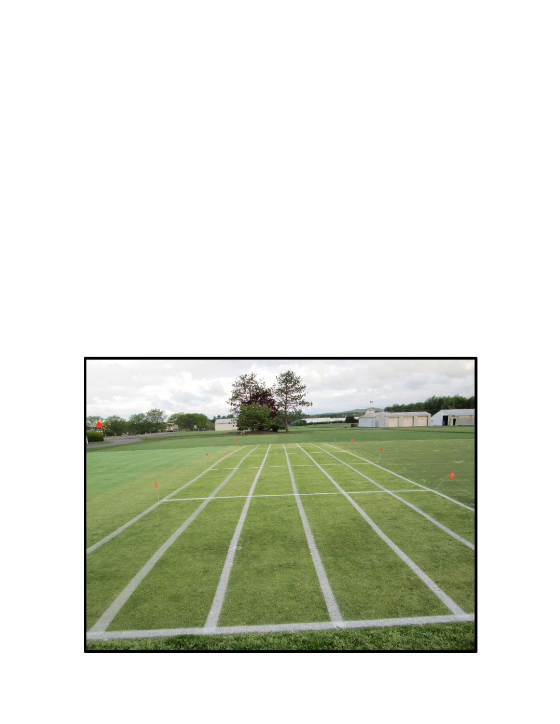